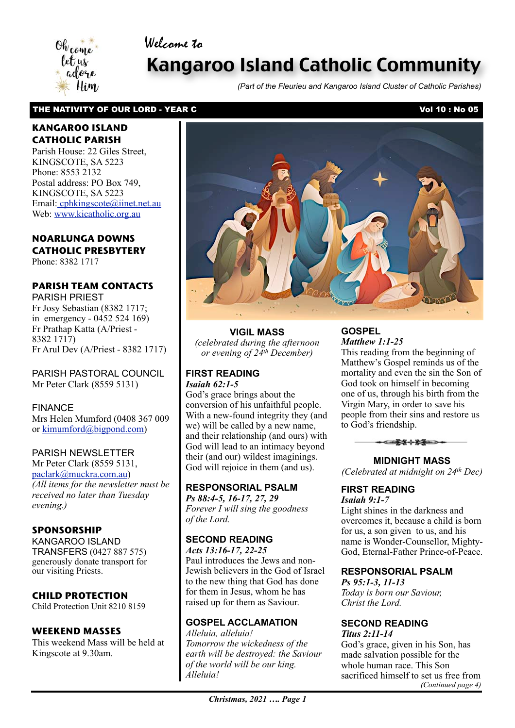# Welcome to



# Kangaroo Island Catholic Community

*(Part of the Fleurieu and Kangaroo Island Cluster of Catholic Parishes)*

#### THE NATIVITY OF OUR LORD - YEAR C VOLUME 2008 2009 10: No 05

#### **KANGAROO ISLAND CATHOLIC PARISH**

Parish House: 22 Giles Street, KINGSCOTE, SA 5223 Phone: 8553 2132 Postal address: PO Box 749, KINGSCOTE, SA 5223 Email[: cphkingscote@iinet.net.au](mailto:cphkingscote@iinet.net.au) Web: [www.kicatholic.org.au](http://www.kicatholic.org.au)

# **NOARLUNGA DOWNS CATHOLIC PRESBYTERY**

Phone: 8382 1717

# **PARISH TEAM CONTACTS**

PARISH PRIEST Fr Josy Sebastian (8382 1717; in emergency - 0452 524 169) Fr Prathap Katta (A/Priest - 8382 1717) Fr Arul Dev (A/Priest - 8382 1717)

PARISH PASTORAL COUNCIL Mr Peter Clark (8559 5131)

FINANCE Mrs Helen Mumford (0408 367 009 or [kimumford@bigpond.com\)](mailto:kimumford@bigpond.com)

#### PARISH NEWSLETTER

Mr Peter Clark (8559 5131, [paclark@muckra.com.au\)](mailto:paclark@muckra.com.au) *(All items for the newsletter must be received no later than Tuesday evening.)*

#### **SPONSORSHIP**

KANGAROO ISLAND TRANSFERS (0427 887 575) generously donate transport for our visiting Priests.

#### **CHILD PROTECTION**

Child Protection Unit 8210 8159

#### **WEEKEND MASSES**

This weekend Mass will be held at Kingscote at 9.30am.



**VIGIL MASS** *(celebrated during the afternoon or evening of 24th December)*

#### **FIRST READING** *Isaiah 62:1-5*

God's grace brings about the conversion of his unfaithful people. With a new-found integrity they (and we) will be called by a new name, and their relationship (and ours) with God will lead to an intimacy beyond their (and our) wildest imaginings. God will rejoice in them (and us).

#### **RESPONSORIAL PSALM**

*Ps 88:4-5, 16-17, 27, 29 Forever I will sing the goodness of the Lord.*

#### **SECOND READING**

*Acts 13:16-17, 22-25* Paul introduces the Jews and non-Jewish believers in the God of Israel to the new thing that God has done for them in Jesus, whom he has raised up for them as Saviour.

# **GOSPEL ACCLAMATION**

*Alleluia, alleluia! Tomorrow the wickedness of the earth will be destroyed: the Saviour of the world will be our king. Alleluia!*

#### **GOSPEL** *Matthew 1:1-25*

This reading from the beginning of Matthew's Gospel reminds us of the mortality and even the sin the Son of God took on himself in becoming one of us, through his birth from the Virgin Mary, in order to save his people from their sins and restore us to God's friendship.



**MIDNIGHT MASS** *(Celebrated at midnight on 24th Dec)*

#### **FIRST READING** *Isaiah 9:1-7*

Light shines in the darkness and overcomes it, because a child is born for us, a son given to us, and his name is Wonder-Counsellor, Mighty-God, Eternal-Father Prince-of-Peace.

#### **RESPONSORIAL PSALM**

*Ps 95:1-3, 11-13 Today is born our Saviour, Christ the Lord.*

#### **SECOND READING** *Titus 2:11-14*

God's grace, given in his Son, has made salvation possible for the whole human race. This Son sacrificed himself to set us free from *(Continued page 4)*